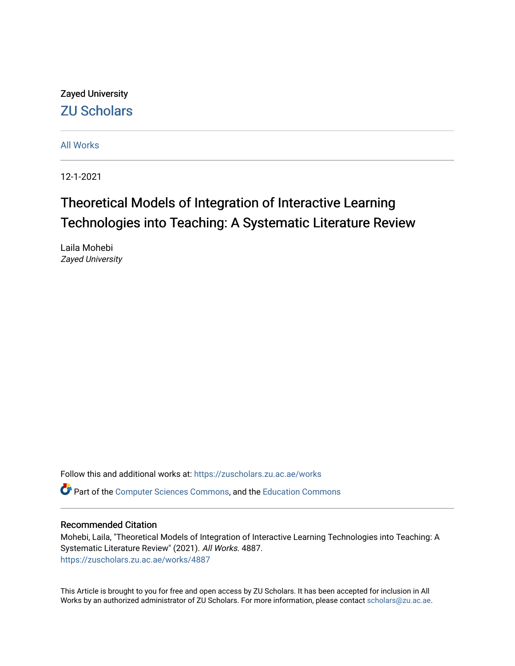Zayed University [ZU Scholars](https://zuscholars.zu.ac.ae/) 

[All Works](https://zuscholars.zu.ac.ae/works)

12-1-2021

# Theoretical Models of Integration of Interactive Learning Technologies into Teaching: A Systematic Literature Review

Laila Mohebi Zayed University

Follow this and additional works at: [https://zuscholars.zu.ac.ae/works](https://zuscholars.zu.ac.ae/works?utm_source=zuscholars.zu.ac.ae%2Fworks%2F4887&utm_medium=PDF&utm_campaign=PDFCoverPages)

Part of the [Computer Sciences Commons](http://network.bepress.com/hgg/discipline/142?utm_source=zuscholars.zu.ac.ae%2Fworks%2F4887&utm_medium=PDF&utm_campaign=PDFCoverPages), and the [Education Commons](http://network.bepress.com/hgg/discipline/784?utm_source=zuscholars.zu.ac.ae%2Fworks%2F4887&utm_medium=PDF&utm_campaign=PDFCoverPages)

#### Recommended Citation

Mohebi, Laila, "Theoretical Models of Integration of Interactive Learning Technologies into Teaching: A Systematic Literature Review" (2021). All Works. 4887. [https://zuscholars.zu.ac.ae/works/4887](https://zuscholars.zu.ac.ae/works/4887?utm_source=zuscholars.zu.ac.ae%2Fworks%2F4887&utm_medium=PDF&utm_campaign=PDFCoverPages)

This Article is brought to you for free and open access by ZU Scholars. It has been accepted for inclusion in All Works by an authorized administrator of ZU Scholars. For more information, please contact [scholars@zu.ac.ae](mailto:scholars@zu.ac.ae).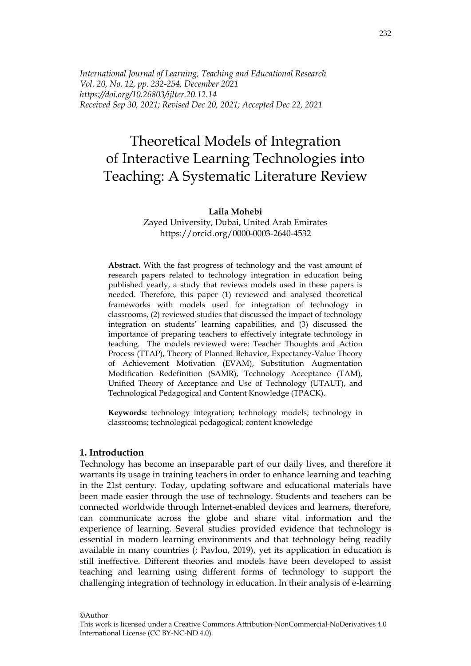*International Journal of Learning, Teaching and Educational Research Vol. 20, No. 12, pp. 232-254, December 2021 https://doi.org/10.26803/ijlter.20.12.14 Received Sep 30, 2021; Revised Dec 20, 2021; Accepted Dec 22, 2021*

# Theoretical Models of Integration of Interactive Learning Technologies into Teaching: A Systematic Literature Review

#### **Laila Mohebi**

Zayed University, Dubai, United Arab Emirates <https://orcid.org/0000-0003-2640-4532>

**Abstract.** With the fast progress of technology and the vast amount of research papers related to technology integration in education being published yearly, a study that reviews models used in these papers is needed. Therefore, this paper (1) reviewed and analysed theoretical frameworks with models used for integration of technology in classrooms, (2) reviewed studies that discussed the impact of technology integration on students' learning capabilities, and (3) discussed the importance of preparing teachers to effectively integrate technology in teaching. The models reviewed were: Teacher Thoughts and Action Process (TTAP), Theory of Planned Behavior, Expectancy-Value Theory of Achievement Motivation (EVAM), Substitution Augmentation Modification Redefinition (SAMR), Technology Acceptance (TAM), Unified Theory of Acceptance and Use of Technology (UTAUT), and Technological Pedagogical and Content Knowledge (TPACK).

**Keywords:** technology integration; technology models; technology in classrooms; technological pedagogical; content knowledge

#### **1. Introduction**

Technology has become an inseparable part of our daily lives, and therefore it warrants its usage in training teachers in order to enhance learning and teaching in the 21st century. Today, updating software and educational materials have been made easier through the use of technology. Students and teachers can be connected worldwide through Internet-enabled devices and learners, therefore, can communicate across the globe and share vital information and the experience of learning. Several studies provided evidence that technology is essential in modern learning environments and that technology being readily available in many countries (; Pavlou, 2019), yet its application in education is still ineffective. Different theories and models have been developed to assist teaching and learning using different forms of technology to support the challenging integration of technology in education. In their analysis of e-learning

©Author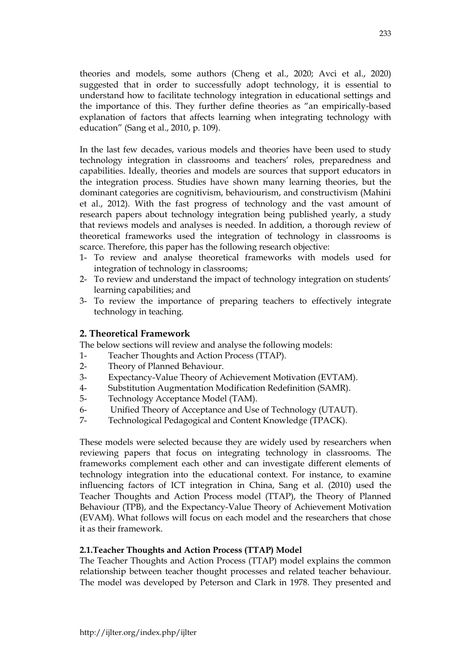theories and models, some authors (Cheng et al., 2020; Avci et al., 2020) suggested that in order to successfully adopt technology, it is essential to understand how to facilitate technology integration in educational settings and the importance of this. They further define theories as "an empirically-based explanation of factors that affects learning when integrating technology with education" (Sang et al., 2010, p. 109).

In the last few decades, various models and theories have been used to study technology integration in classrooms and teachers' roles, preparedness and capabilities. Ideally, theories and models are sources that support educators in the integration process. Studies have shown many learning theories, but the dominant categories are cognitivism, behaviourism, and constructivism (Mahini et al., 2012). With the fast progress of technology and the vast amount of research papers about technology integration being published yearly, a study that reviews models and analyses is needed. In addition, a thorough review of theoretical frameworks used the integration of technology in classrooms is scarce. Therefore, this paper has the following research objective:

- 1- To review and analyse theoretical frameworks with models used for integration of technology in classrooms;
- 2- To review and understand the impact of technology integration on students' learning capabilities; and
- 3- To review the importance of preparing teachers to effectively integrate technology in teaching.

### **2. Theoretical Framework**

The below sections will review and analyse the following models:

- 1- Teacher Thoughts and Action Process (TTAP).
- 2- Theory of Planned Behaviour.
- 3- Expectancy-Value Theory of Achievement Motivation (EVTAM).
- 4- Substitution Augmentation Modification Redefinition (SAMR).
- 5- Technology Acceptance Model (TAM).
- 6- Unified Theory of Acceptance and Use of Technology (UTAUT).
- 7- Technological Pedagogical and Content Knowledge (TPACK).

These models were selected because they are widely used by researchers when reviewing papers that focus on integrating technology in classrooms. The frameworks complement each other and can investigate different elements of technology integration into the educational context. For instance, to examine influencing factors of ICT integration in China, Sang et al. (2010) used the Teacher Thoughts and Action Process model (TTAP), the Theory of Planned Behaviour (TPB), and the Expectancy-Value Theory of Achievement Motivation (EVAM). What follows will focus on each model and the researchers that chose it as their framework.

### **2.1.Teacher Thoughts and Action Process (TTAP) Model**

The Teacher Thoughts and Action Process (TTAP) model explains the common relationship between teacher thought processes and related teacher behaviour. The model was developed by Peterson and Clark in 1978. They presented and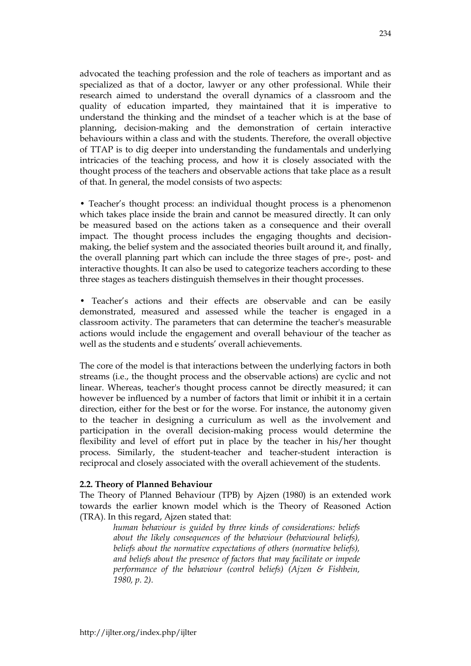advocated the teaching profession and the role of teachers as important and as specialized as that of a doctor, lawyer or any other professional. While their research aimed to understand the overall dynamics of a classroom and the quality of education imparted, they maintained that it is imperative to understand the thinking and the mindset of a teacher which is at the base of planning, decision-making and the demonstration of certain interactive behaviours within a class and with the students. Therefore, the overall objective of TTAP is to dig deeper into understanding the fundamentals and underlying intricacies of the teaching process, and how it is closely associated with the thought process of the teachers and observable actions that take place as a result of that. In general, the model consists of two aspects:

• Teacher's thought process: an individual thought process is a phenomenon which takes place inside the brain and cannot be measured directly. It can only be measured based on the actions taken as a consequence and their overall impact. The thought process includes the engaging thoughts and decisionmaking, the belief system and the associated theories built around it, and finally, the overall planning part which can include the three stages of pre-, post- and interactive thoughts. It can also be used to categorize teachers according to these three stages as teachers distinguish themselves in their thought processes.

• Teacher's actions and their effects are observable and can be easily demonstrated, measured and assessed while the teacher is engaged in a classroom activity. The parameters that can determine the teacher's measurable actions would include the engagement and overall behaviour of the teacher as well as the students and e students' overall achievements.

The core of the model is that interactions between the underlying factors in both streams (i.e., the thought process and the observable actions) are cyclic and not linear. Whereas, teacher's thought process cannot be directly measured; it can however be influenced by a number of factors that limit or inhibit it in a certain direction, either for the best or for the worse. For instance, the autonomy given to the teacher in designing a curriculum as well as the involvement and participation in the overall decision-making process would determine the flexibility and level of effort put in place by the teacher in his/her thought process. Similarly, the student-teacher and teacher-student interaction is reciprocal and closely associated with the overall achievement of the students.

#### **2.2. Theory of Planned Behaviour**

The Theory of Planned Behaviour (TPB) by Ajzen (1980) is an extended work towards the earlier known model which is the Theory of Reasoned Action (TRA). In this regard, Ajzen stated that:

> *human behaviour is guided by three kinds of considerations: beliefs about the likely consequences of the behaviour (behavioural beliefs), beliefs about the normative expectations of others (normative beliefs), and beliefs about the presence of factors that may facilitate or impede performance of the behaviour (control beliefs) (Ajzen & Fishbein, 1980, p. 2).*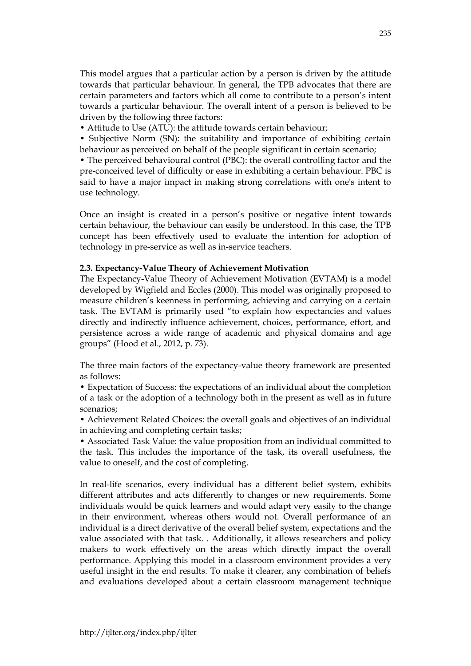This model argues that a particular action by a person is driven by the attitude towards that particular behaviour. In general, the TPB advocates that there are certain parameters and factors which all come to contribute to a person's intent towards a particular behaviour. The overall intent of a person is believed to be driven by the following three factors:

• Attitude to Use (ATU): the attitude towards certain behaviour;

• Subjective Norm (SN): the suitability and importance of exhibiting certain behaviour as perceived on behalf of the people significant in certain scenario;

• The perceived behavioural control (PBC): the overall controlling factor and the pre-conceived level of difficulty or ease in exhibiting a certain behaviour. PBC is said to have a major impact in making strong correlations with one's intent to use technology.

Once an insight is created in a person's positive or negative intent towards certain behaviour, the behaviour can easily be understood. In this case, the TPB concept has been effectively used to evaluate the intention for adoption of technology in pre-service as well as in-service teachers.

### **2.3. Expectancy-Value Theory of Achievement Motivation**

The Expectancy-Value Theory of Achievement Motivation (EVTAM) is a model developed by Wigfield and Eccles (2000). This model was originally proposed to measure children's keenness in performing, achieving and carrying on a certain task. The EVTAM is primarily used "to explain how expectancies and values directly and indirectly influence achievement, choices, performance, effort, and persistence across a wide range of academic and physical domains and age groups" (Hood et al., 2012, p. 73).

The three main factors of the expectancy-value theory framework are presented as follows:

• Expectation of Success: the expectations of an individual about the completion of a task or the adoption of a technology both in the present as well as in future scenarios;

• Achievement Related Choices: the overall goals and objectives of an individual in achieving and completing certain tasks;

• Associated Task Value: the value proposition from an individual committed to the task. This includes the importance of the task, its overall usefulness, the value to oneself, and the cost of completing.

In real-life scenarios, every individual has a different belief system, exhibits different attributes and acts differently to changes or new requirements. Some individuals would be quick learners and would adapt very easily to the change in their environment, whereas others would not. Overall performance of an individual is a direct derivative of the overall belief system, expectations and the value associated with that task. . Additionally, it allows researchers and policy makers to work effectively on the areas which directly impact the overall performance. Applying this model in a classroom environment provides a very useful insight in the end results. To make it clearer, any combination of beliefs and evaluations developed about a certain classroom management technique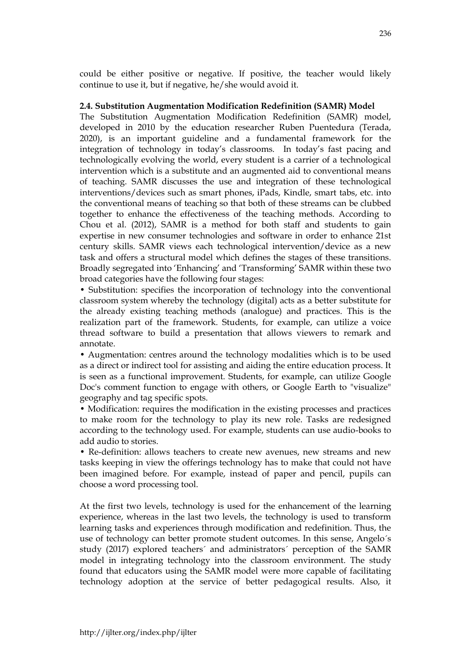could be either positive or negative. If positive, the teacher would likely continue to use it, but if negative, he/she would avoid it.

#### **2.4. Substitution Augmentation Modification Redefinition (SAMR) Model**

The Substitution Augmentation Modification Redefinition (SAMR) model, developed in 2010 by the education researcher Ruben Puentedura (Terada, 2020), is an important guideline and a fundamental framework for the integration of technology in today's classrooms. In today's fast pacing and technologically evolving the world, every student is a carrier of a technological intervention which is a substitute and an augmented aid to conventional means of teaching. SAMR discusses the use and integration of these technological interventions/devices such as smart phones, iPads, Kindle, smart tabs, etc. into the conventional means of teaching so that both of these streams can be clubbed together to enhance the effectiveness of the teaching methods. According to Chou et al. (2012), SAMR is a method for both staff and students to gain expertise in new consumer technologies and software in order to enhance 21st century skills. SAMR views each technological intervention/device as a new task and offers a structural model which defines the stages of these transitions. Broadly segregated into 'Enhancing' and 'Transforming' SAMR within these two broad categories have the following four stages:

• Substitution: specifies the incorporation of technology into the conventional classroom system whereby the technology (digital) acts as a better substitute for the already existing teaching methods (analogue) and practices. This is the realization part of the framework. Students, for example, can utilize a voice thread software to build a presentation that allows viewers to remark and annotate.

• Augmentation: centres around the technology modalities which is to be used as a direct or indirect tool for assisting and aiding the entire education process. It is seen as a functional improvement. Students, for example, can utilize Google Doc's comment function to engage with others, or Google Earth to "visualize" geography and tag specific spots.

• Modification: requires the modification in the existing processes and practices to make room for the technology to play its new role. Tasks are redesigned according to the technology used. For example, students can use audio-books to add audio to stories.

• Re-definition: allows teachers to create new avenues, new streams and new tasks keeping in view the offerings technology has to make that could not have been imagined before. For example, instead of paper and pencil, pupils can choose a word processing tool.

At the first two levels, technology is used for the enhancement of the learning experience, whereas in the last two levels, the technology is used to transform learning tasks and experiences through modification and redefinition. Thus, the use of technology can better promote student outcomes. In this sense, Angelo´s study (2017) explored teachers´ and administrators´ perception of the SAMR model in integrating technology into the classroom environment. The study found that educators using the SAMR model were more capable of facilitating technology adoption at the service of better pedagogical results. Also, it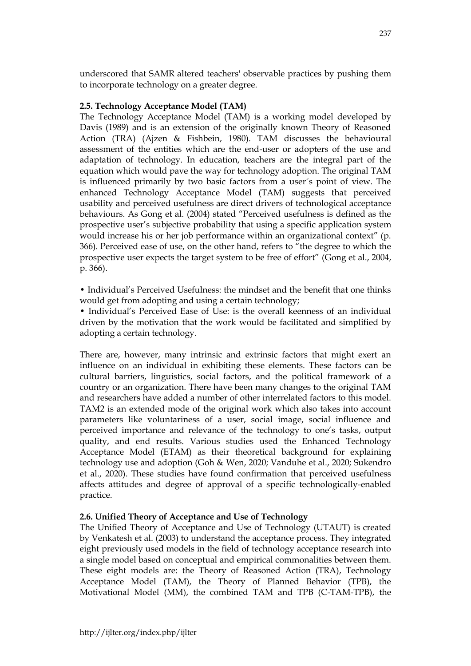underscored that SAMR altered teachers' observable practices by pushing them to incorporate technology on a greater degree.

# **2.5. Technology Acceptance Model (TAM)**

The Technology Acceptance Model (TAM) is a working model developed by Davis (1989) and is an extension of the originally known Theory of Reasoned Action (TRA) (Ajzen & Fishbein, 1980). TAM discusses the behavioural assessment of the entities which are the end-user or adopters of the use and adaptation of technology. In education, teachers are the integral part of the equation which would pave the way for technology adoption. The original TAM is influenced primarily by two basic factors from a user´s point of view. The enhanced Technology Acceptance Model (TAM) suggests that perceived usability and perceived usefulness are direct drivers of technological acceptance behaviours. As Gong et al. (2004) stated "Perceived usefulness is defined as the prospective user's subjective probability that using a specific application system would increase his or her job performance within an organizational context" (p. 366). Perceived ease of use, on the other hand, refers to "the degree to which the prospective user expects the target system to be free of effort" (Gong et al., 2004, p. 366).

• Individual's Perceived Usefulness: the mindset and the benefit that one thinks would get from adopting and using a certain technology;

• Individual's Perceived Ease of Use: is the overall keenness of an individual driven by the motivation that the work would be facilitated and simplified by adopting a certain technology.

There are, however, many intrinsic and extrinsic factors that might exert an influence on an individual in exhibiting these elements. These factors can be cultural barriers, linguistics, social factors, and the political framework of a country or an organization. There have been many changes to the original TAM and researchers have added a number of other interrelated factors to this model. TAM2 is an extended mode of the original work which also takes into account parameters like voluntariness of a user, social image, social influence and perceived importance and relevance of the technology to one's tasks, output quality, and end results. Various studies used the Enhanced Technology Acceptance Model (ETAM) as their theoretical background for explaining technology use and adoption (Goh & Wen, 2020; Vanduhe et al., 2020; Sukendro et al., 2020). These studies have found confirmation that perceived usefulness affects attitudes and degree of approval of a specific technologically-enabled practice.

# **2.6. Unified Theory of Acceptance and Use of Technology**

The Unified Theory of Acceptance and Use of Technology (UTAUT) is created by Venkatesh et al. (2003) to understand the acceptance process. They integrated eight previously used models in the field of technology acceptance research into a single model based on conceptual and empirical commonalities between them. These eight models are: the Theory of Reasoned Action (TRA), Technology Acceptance Model (TAM), the Theory of Planned Behavior (TPB), the Motivational Model (MM), the combined TAM and TPB (C-TAM-TPB), the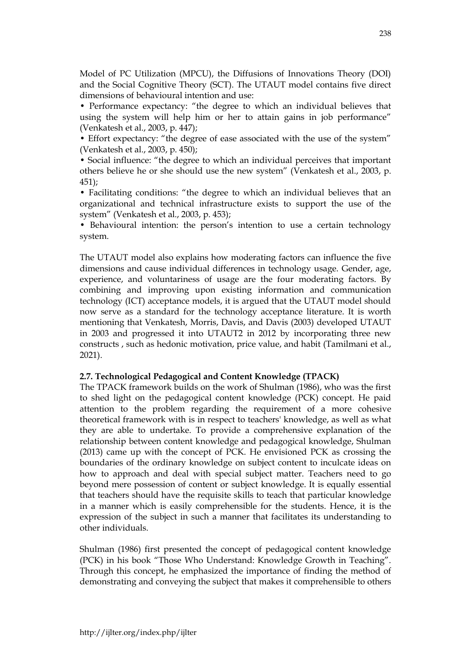Model of PC Utilization (MPCU), the Diffusions of Innovations Theory (DOI) and the Social Cognitive Theory (SCT). The UTAUT model contains five direct dimensions of behavioural intention and use:

• Performance expectancy: "the degree to which an individual believes that using the system will help him or her to attain gains in job performance" (Venkatesh et al., 2003, p. 447);

• Effort expectancy: "the degree of ease associated with the use of the system" (Venkatesh et al., 2003, p. 450);

• Social influence: "the degree to which an individual perceives that important others believe he or she should use the new system" (Venkatesh et al., 2003, p. 451);

• Facilitating conditions: "the degree to which an individual believes that an organizational and technical infrastructure exists to support the use of the system" (Venkatesh et al., 2003, p. 453);

• Behavioural intention: the person's intention to use a certain technology system.

The UTAUT model also explains how moderating factors can influence the five dimensions and cause individual differences in technology usage. Gender, age, experience, and voluntariness of usage are the four moderating factors. By combining and improving upon existing information and communication technology (ICT) acceptance models, it is argued that the UTAUT model should now serve as a standard for the technology acceptance literature. It is worth mentioning that Venkatesh, Morris, Davis, and Davis (2003) developed UTAUT in 2003 and progressed it into UTAUT2 in 2012 by incorporating three new constructs , such as hedonic motivation, price value, and habit (Tamilmani et al., 2021).

### **2.7. Technological Pedagogical and Content Knowledge (TPACK)**

The TPACK framework builds on the work of Shulman (1986), who was the first to shed light on the pedagogical content knowledge (PCK) concept. He paid attention to the problem regarding the requirement of a more cohesive theoretical framework with is in respect to teachers' knowledge, as well as what they are able to undertake. To provide a comprehensive explanation of the relationship between content knowledge and pedagogical knowledge, Shulman (2013) came up with the concept of PCK. He envisioned PCK as crossing the boundaries of the ordinary knowledge on subject content to inculcate ideas on how to approach and deal with special subject matter. Teachers need to go beyond mere possession of content or subject knowledge. It is equally essential that teachers should have the requisite skills to teach that particular knowledge in a manner which is easily comprehensible for the students. Hence, it is the expression of the subject in such a manner that facilitates its understanding to other individuals.

Shulman (1986) first presented the concept of pedagogical content knowledge (PCK) in his book "Those Who Understand: Knowledge Growth in Teaching". Through this concept, he emphasized the importance of finding the method of demonstrating and conveying the subject that makes it comprehensible to others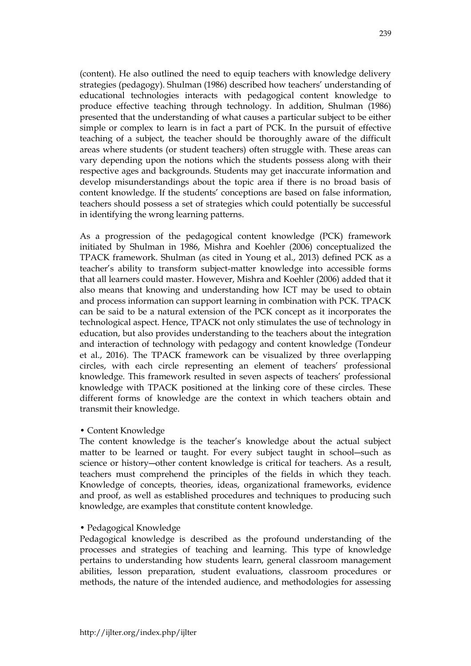(content). He also outlined the need to equip teachers with knowledge delivery strategies (pedagogy). Shulman (1986) described how teachers' understanding of educational technologies interacts with pedagogical content knowledge to produce effective teaching through technology. In addition, Shulman (1986) presented that the understanding of what causes a particular subject to be either simple or complex to learn is in fact a part of PCK. In the pursuit of effective teaching of a subject, the teacher should be thoroughly aware of the difficult areas where students (or student teachers) often struggle with. These areas can vary depending upon the notions which the students possess along with their respective ages and backgrounds. Students may get inaccurate information and develop misunderstandings about the topic area if there is no broad basis of content knowledge. If the students' conceptions are based on false information, teachers should possess a set of strategies which could potentially be successful

As a progression of the pedagogical content knowledge (PCK) framework initiated by Shulman in 1986, Mishra and Koehler (2006) conceptualized the TPACK framework. Shulman (as cited in Young et al., 2013) defined PCK as a teacher's ability to transform subject-matter knowledge into accessible forms that all learners could master. However, Mishra and Koehler (2006) added that it also means that knowing and understanding how ICT may be used to obtain and process information can support learning in combination with PCK. TPACK can be said to be a natural extension of the PCK concept as it incorporates the technological aspect. Hence, TPACK not only stimulates the use of technology in education, but also provides understanding to the teachers about the integration and interaction of technology with pedagogy and content knowledge (Tondeur et al., 2016). The TPACK framework can be visualized by three overlapping circles, with each circle representing an element of teachers' professional knowledge. This framework resulted in seven aspects of teachers' professional knowledge with TPACK positioned at the linking core of these circles. These different forms of knowledge are the context in which teachers obtain and transmit their knowledge.

### • Content Knowledge

in identifying the wrong learning patterns.

The content knowledge is the teacher's knowledge about the actual subject matter to be learned or taught. For every subject taught in school―such as science or history―other content knowledge is critical for teachers. As a result, teachers must comprehend the principles of the fields in which they teach. Knowledge of concepts, theories, ideas, organizational frameworks, evidence and proof, as well as established procedures and techniques to producing such knowledge, are examples that constitute content knowledge.

#### • Pedagogical Knowledge

Pedagogical knowledge is described as the profound understanding of the processes and strategies of teaching and learning. This type of knowledge pertains to understanding how students learn, general classroom management abilities, lesson preparation, student evaluations, classroom procedures or methods, the nature of the intended audience, and methodologies for assessing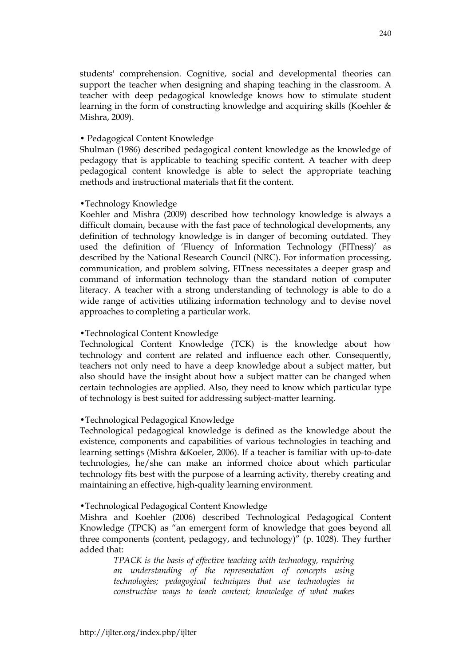students' comprehension. Cognitive, social and developmental theories can support the teacher when designing and shaping teaching in the classroom. A teacher with deep pedagogical knowledge knows how to stimulate student learning in the form of constructing knowledge and acquiring skills (Koehler & Mishra, 2009).

#### • Pedagogical Content Knowledge

Shulman (1986) described pedagogical content knowledge as the knowledge of pedagogy that is applicable to teaching specific content. A teacher with deep pedagogical content knowledge is able to select the appropriate teaching methods and instructional materials that fit the content.

#### •Technology Knowledge

Koehler and Mishra (2009) described how technology knowledge is always a difficult domain, because with the fast pace of technological developments, any definition of technology knowledge is in danger of becoming outdated. They used the definition of 'Fluency of Information Technology (FITness)' as described by the National Research Council (NRC). For information processing, communication, and problem solving, FITness necessitates a deeper grasp and command of information technology than the standard notion of computer literacy. A teacher with a strong understanding of technology is able to do a wide range of activities utilizing information technology and to devise novel approaches to completing a particular work.

#### •Technological Content Knowledge

Technological Content Knowledge (TCK) is the knowledge about how technology and content are related and influence each other. Consequently, teachers not only need to have a deep knowledge about a subject matter, but also should have the insight about how a subject matter can be changed when certain technologies are applied. Also, they need to know which particular type of technology is best suited for addressing subject-matter learning.

### •Technological Pedagogical Knowledge

Technological pedagogical knowledge is defined as the knowledge about the existence, components and capabilities of various technologies in teaching and learning settings (Mishra &Koeler, 2006). If a teacher is familiar with up-to-date technologies, he/she can make an informed choice about which particular technology fits best with the purpose of a learning activity, thereby creating and maintaining an effective, high-quality learning environment.

#### •Technological Pedagogical Content Knowledge

Mishra and Koehler (2006) described Technological Pedagogical Content Knowledge (TPCK) as "an emergent form of knowledge that goes beyond all three components (content, pedagogy, and technology)" (p. 1028). They further added that:

> *TPACK is the basis of effective teaching with technology, requiring an understanding of the representation of concepts using technologies; pedagogical techniques that use technologies in constructive ways to teach content; knowledge of what makes*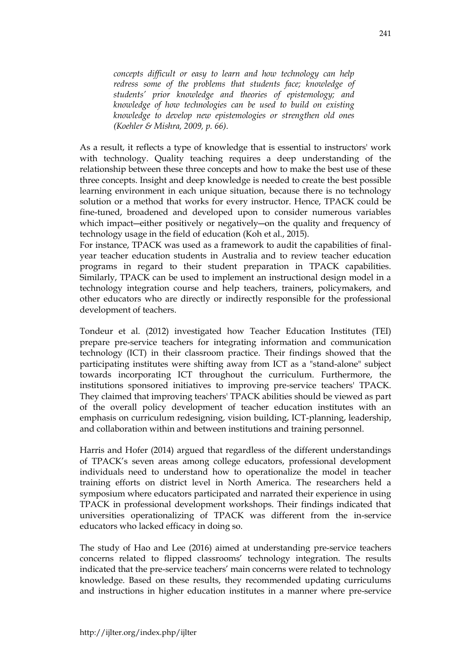*concepts difficult or easy to learn and how technology can help redress some of the problems that students face; knowledge of students' prior knowledge and theories of epistemology; and knowledge of how technologies can be used to build on existing knowledge to develop new epistemologies or strengthen old ones (Koehler & Mishra, 2009, p. 66).* 

As a result, it reflects a type of knowledge that is essential to instructors' work with technology. Quality teaching requires a deep understanding of the relationship between these three concepts and how to make the best use of these three concepts. Insight and deep knowledge is needed to create the best possible learning environment in each unique situation, because there is no technology solution or a method that works for every instructor. Hence, TPACK could be fine-tuned, broadened and developed upon to consider numerous variables which impact—either positively or negatively—on the quality and frequency of technology usage in the field of education (Koh et al., 2015).

For instance, TPACK was used as a framework to audit the capabilities of finalyear teacher education students in Australia and to review teacher education programs in regard to their student preparation in TPACK capabilities. Similarly, TPACK can be used to implement an instructional design model in a technology integration course and help teachers, trainers, policymakers, and other educators who are directly or indirectly responsible for the professional development of teachers.

Tondeur et al. (2012) investigated how Teacher Education Institutes (TEI) prepare pre-service teachers for integrating information and communication technology (ICT) in their classroom practice. Their findings showed that the participating institutes were shifting away from ICT as a "stand-alone" subject towards incorporating ICT throughout the curriculum. Furthermore, the institutions sponsored initiatives to improving pre-service teachers' TPACK. They claimed that improving teachers' TPACK abilities should be viewed as part of the overall policy development of teacher education institutes with an emphasis on curriculum redesigning, vision building, ICT-planning, leadership, and collaboration within and between institutions and training personnel.

Harris and Hofer (2014) argued that regardless of the different understandings of TPACK's seven areas among college educators, professional development individuals need to understand how to operationalize the model in teacher training efforts on district level in North America. The researchers held a symposium where educators participated and narrated their experience in using TPACK in professional development workshops. Their findings indicated that universities operationalizing of TPACK was different from the in-service educators who lacked efficacy in doing so.

The study of Hao and Lee (2016) aimed at understanding pre-service teachers concerns related to flipped classrooms' technology integration. The results indicated that the pre-service teachers' main concerns were related to technology knowledge. Based on these results, they recommended updating curriculums and instructions in higher education institutes in a manner where pre-service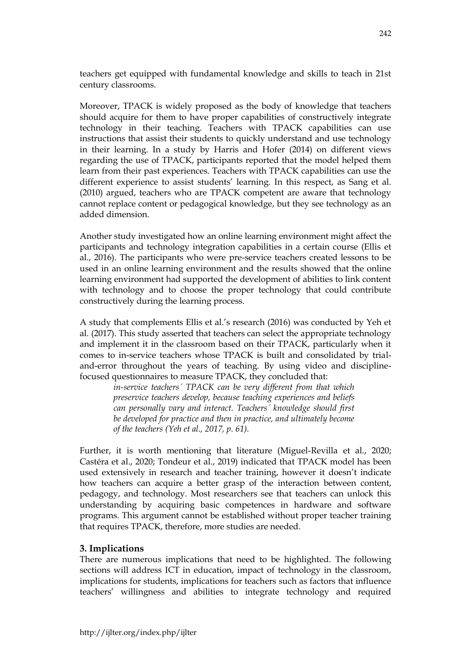teachers get equipped with fundamental knowledge and skills to teach in 21st century classrooms.

Moreover, TPACK is widely proposed as the body of knowledge that teachers should acquire for them to have proper capabilities of constructively integrate technology in their teaching. Teachers with TPACK capabilities can use instructions that assist their students to quickly understand and use technology in their learning. In a study by Harris and Hofer (2014) on different views regarding the use of TPACK, participants reported that the model helped them learn from their past experiences. Teachers with TPACK capabilities can use the different experience to assist students' learning. In this respect, as Sang et al. (2010) argued, teachers who are TPACK competent are aware that technology cannot replace content or pedagogical knowledge, but they see technology as an added dimension.

Another study investigated how an online learning environment might affect the participants and technology integration capabilities in a certain course (Ellis et al., 2016). The participants who were pre-service teachers created lessons to be used in an online learning environment and the results showed that the online learning environment had supported the development of abilities to link content with technology and to choose the proper technology that could contribute constructively during the learning process.

A study that complements Ellis et al.'s research (2016) was conducted by Yeh et al. (2017). This study asserted that teachers can select the appropriate technology and implement it in the classroom based on their TPACK, particularly when it comes to in-service teachers whose TPACK is built and consolidated by trialand-error throughout the years of teaching. By using video and disciplinefocused questionnaires to measure TPACK, they concluded that:

*in-service teachers´ TPACK can be very different from that which preservice teachers develop, because teaching experiences and beliefs can personally vary and interact. Teachers´ knowledge should first be developed for practice and then in practice, and ultimately become of the teachers (Yeh et al., 2017, p. 61).* 

Further, it is worth mentioning that literature (Miguel-Revilla et al., 2020; Castéra et al., 2020; Tondeur et al., 2019) indicated that TPACK model has been used extensively in research and teacher training, however it doesn't indicate how teachers can acquire a better grasp of the interaction between content, pedagogy, and technology. Most researchers see that teachers can unlock this understanding by acquiring basic competences in hardware and software programs. This argument cannot be established without proper teacher training that requires TPACK, therefore, more studies are needed.

### **3. Implications**

There are numerous implications that need to be highlighted. The following sections will address ICT in education, impact of technology in the classroom, implications for students, implications for teachers such as factors that influence teachers' willingness and abilities to integrate technology and required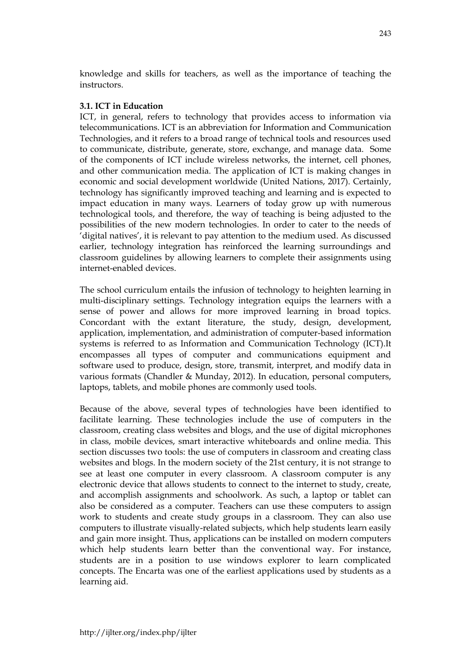knowledge and skills for teachers, as well as the importance of teaching the instructors.

## **3.1. ICT in Education**

ICT, in general, refers to technology that provides access to information via telecommunications. ICT is an abbreviation for Information and Communication Technologies, and it refers to a broad range of technical tools and resources used to communicate, distribute, generate, store, exchange, and manage data. Some of the components of ICT include wireless networks, the internet, cell phones, and other communication media. The application of ICT is making changes in economic and social development worldwide (United Nations, 2017). Certainly, technology has significantly improved teaching and learning and is expected to impact education in many ways. Learners of today grow up with numerous technological tools, and therefore, the way of teaching is being adjusted to the possibilities of the new modern technologies. In order to cater to the needs of 'digital natives', it is relevant to pay attention to the medium used. As discussed earlier, technology integration has reinforced the learning surroundings and classroom guidelines by allowing learners to complete their assignments using internet-enabled devices.

The school curriculum entails the infusion of technology to heighten learning in multi-disciplinary settings. Technology integration equips the learners with a sense of power and allows for more improved learning in broad topics. Concordant with the extant literature, the study, design, development, application, implementation, and administration of computer-based information systems is referred to as Information and Communication Technology (ICT).It encompasses all types of computer and communications equipment and software used to produce, design, store, transmit, interpret, and modify data in various formats (Chandler & Munday, 2012). In education, personal computers, laptops, tablets, and mobile phones are commonly used tools.

Because of the above, several types of technologies have been identified to facilitate learning. These technologies include the use of computers in the classroom, creating class websites and blogs, and the use of digital microphones in class, mobile devices, smart interactive whiteboards and online media. This section discusses two tools: the use of computers in classroom and creating class websites and blogs. In the modern society of the 21st century, it is not strange to see at least one computer in every classroom. A classroom computer is any electronic device that allows students to connect to the internet to study, create, and accomplish assignments and schoolwork. As such, a laptop or tablet can also be considered as a computer. Teachers can use these computers to assign work to students and create study groups in a classroom. They can also use computers to illustrate visually-related subjects, which help students learn easily and gain more insight. Thus, applications can be installed on modern computers which help students learn better than the conventional way. For instance, students are in a position to use windows explorer to learn complicated concepts. The Encarta was one of the earliest applications used by students as a learning aid.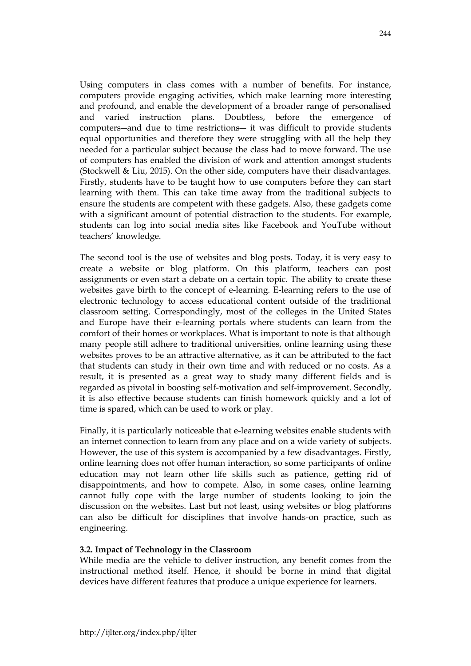Using computers in class comes with a number of benefits. For instance, computers provide engaging activities, which make learning more interesting and profound, and enable the development of a broader range of personalised and varied instruction plans. Doubtless, before the emergence of computers―and due to time restrictions― it was difficult to provide students equal opportunities and therefore they were struggling with all the help they needed for a particular subject because the class had to move forward. The use of computers has enabled the division of work and attention amongst students (Stockwell & Liu, 2015). On the other side, computers have their disadvantages. Firstly, students have to be taught how to use computers before they can start learning with them. This can take time away from the traditional subjects to ensure the students are competent with these gadgets. Also, these gadgets come with a significant amount of potential distraction to the students. For example, students can log into social media sites like Facebook and YouTube without teachers' knowledge.

The second tool is the use of websites and blog posts. Today, it is very easy to create a website or blog platform. On this platform, teachers can post assignments or even start a debate on a certain topic. The ability to create these websites gave birth to the concept of e-learning. E-learning refers to the use of electronic technology to access educational content outside of the traditional classroom setting. Correspondingly, most of the colleges in the United States and Europe have their e-learning portals where students can learn from the comfort of their homes or workplaces. What is important to note is that although many people still adhere to traditional universities, online learning using these websites proves to be an attractive alternative, as it can be attributed to the fact that students can study in their own time and with reduced or no costs. As a result, it is presented as a great way to study many different fields and is regarded as pivotal in boosting self-motivation and self-improvement. Secondly, it is also effective because students can finish homework quickly and a lot of time is spared, which can be used to work or play.

Finally, it is particularly noticeable that e-learning websites enable students with an internet connection to learn from any place and on a wide variety of subjects. However, the use of this system is accompanied by a few disadvantages. Firstly, online learning does not offer human interaction, so some participants of online education may not learn other life skills such as patience, getting rid of disappointments, and how to compete. Also, in some cases, online learning cannot fully cope with the large number of students looking to join the discussion on the websites. Last but not least, using websites or blog platforms can also be difficult for disciplines that involve hands-on practice, such as engineering.

#### **3.2. Impact of Technology in the Classroom**

While media are the vehicle to deliver instruction, any benefit comes from the instructional method itself. Hence, it should be borne in mind that digital devices have different features that produce a unique experience for learners.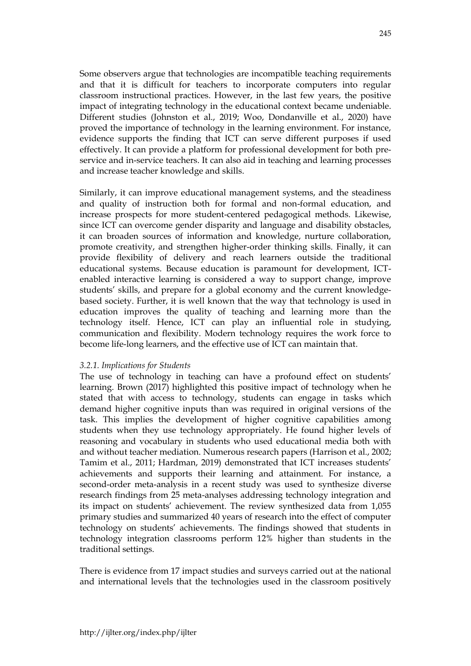Some observers argue that technologies are incompatible teaching requirements and that it is difficult for teachers to incorporate computers into regular classroom instructional practices. However, in the last few years, the positive impact of integrating technology in the educational context became undeniable. Different studies (Johnston et al., 2019; Woo, Dondanville et al., 2020) have proved the importance of technology in the learning environment. For instance, evidence supports the finding that ICT can serve different purposes if used effectively. It can provide a platform for professional development for both preservice and in-service teachers. It can also aid in teaching and learning processes and increase teacher knowledge and skills.

Similarly, it can improve educational management systems, and the steadiness and quality of instruction both for formal and non-formal education, and increase prospects for more student-centered pedagogical methods. Likewise, since ICT can overcome gender disparity and language and disability obstacles, it can broaden sources of information and knowledge, nurture collaboration, promote creativity, and strengthen higher-order thinking skills. Finally, it can provide flexibility of delivery and reach learners outside the traditional educational systems. Because education is paramount for development, ICTenabled interactive learning is considered a way to support change, improve students' skills, and prepare for a global economy and the current knowledgebased society. Further, it is well known that the way that technology is used in education improves the quality of teaching and learning more than the technology itself. Hence, ICT can play an influential role in studying, communication and flexibility. Modern technology requires the work force to become life-long learners, and the effective use of ICT can maintain that.

### *3.2.1. Implications for Students*

The use of technology in teaching can have a profound effect on students' learning. Brown (2017) highlighted this positive impact of technology when he stated that with access to technology, students can engage in tasks which demand higher cognitive inputs than was required in original versions of the task. This implies the development of higher cognitive capabilities among students when they use technology appropriately. He found higher levels of reasoning and vocabulary in students who used educational media both with and without teacher mediation. Numerous research papers (Harrison et al., 2002; Tamim et al., 2011; Hardman, 2019) demonstrated that ICT increases students' achievements and supports their learning and attainment. For instance, a second-order meta-analysis in a recent study was used to synthesize diverse research findings from 25 meta-analyses addressing technology integration and its impact on students' achievement. The review synthesized data from 1,055 primary studies and summarized 40 years of research into the effect of computer technology on students' achievements. The findings showed that students in technology integration classrooms perform 12% higher than students in the traditional settings.

There is evidence from 17 impact studies and surveys carried out at the national and international levels that the technologies used in the classroom positively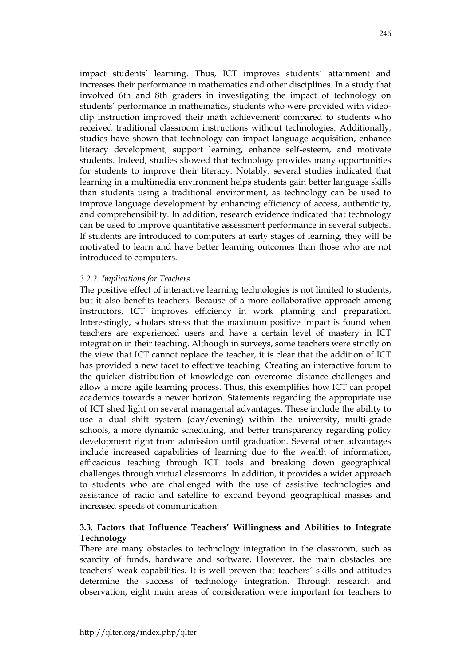impact students' learning. Thus, ICT improves students´ attainment and increases their performance in mathematics and other disciplines. In a study that involved 6th and 8th graders in investigating the impact of technology on students' performance in mathematics, students who were provided with videoclip instruction improved their math achievement compared to students who received traditional classroom instructions without technologies. Additionally, studies have shown that technology can impact language acquisition, enhance literacy development, support learning, enhance self-esteem, and motivate students. Indeed, studies showed that technology provides many opportunities for students to improve their literacy. Notably, several studies indicated that learning in a multimedia environment helps students gain better language skills than students using a traditional environment, as technology can be used to improve language development by enhancing efficiency of access, authenticity, and comprehensibility. In addition, research evidence indicated that technology can be used to improve quantitative assessment performance in several subjects. If students are introduced to computers at early stages of learning, they will be motivated to learn and have better learning outcomes than those who are not introduced to computers.

#### *3.2.2. Implications for Teachers*

The positive effect of interactive learning technologies is not limited to students, but it also benefits teachers. Because of a more collaborative approach among instructors, ICT improves efficiency in work planning and preparation. Interestingly, scholars stress that the maximum positive impact is found when teachers are experienced users and have a certain level of mastery in ICT integration in their teaching. Although in surveys, some teachers were strictly on the view that ICT cannot replace the teacher, it is clear that the addition of ICT has provided a new facet to effective teaching. Creating an interactive forum to the quicker distribution of knowledge can overcome distance challenges and allow a more agile learning process. Thus, this exemplifies how ICT can propel academics towards a newer horizon. Statements regarding the appropriate use of ICT shed light on several managerial advantages. These include the ability to use a dual shift system (day/evening) within the university, multi-grade schools, a more dynamic scheduling, and better transparency regarding policy development right from admission until graduation. Several other advantages include increased capabilities of learning due to the wealth of information, efficacious teaching through ICT tools and breaking down geographical challenges through virtual classrooms. In addition, it provides a wider approach to students who are challenged with the use of assistive technologies and assistance of radio and satellite to expand beyond geographical masses and increased speeds of communication.

#### **3.3. Factors that Influence Teachers' Willingness and Abilities to Integrate Technology**

There are many obstacles to technology integration in the classroom, such as scarcity of funds, hardware and software. However, the main obstacles are teachers' weak capabilities. It is well proven that teachers´ skills and attitudes determine the success of technology integration. Through research and observation, eight main areas of consideration were important for teachers to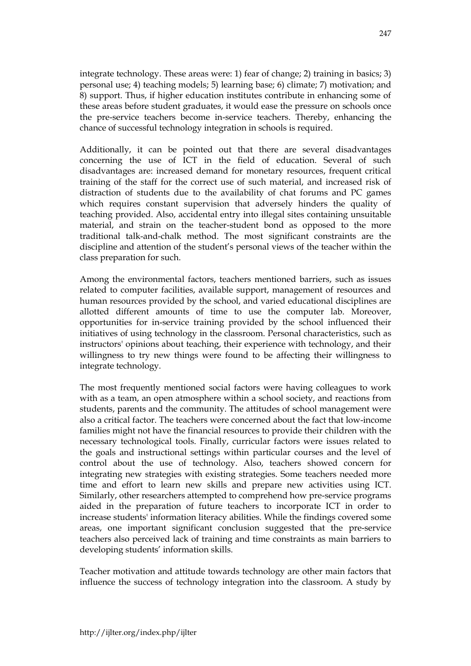integrate technology. These areas were: 1) fear of change; 2) training in basics; 3) personal use; 4) teaching models; 5) learning base; 6) climate; 7) motivation; and 8) support. Thus, if higher education institutes contribute in enhancing some of these areas before student graduates, it would ease the pressure on schools once the pre-service teachers become in-service teachers. Thereby, enhancing the chance of successful technology integration in schools is required.

Additionally, it can be pointed out that there are several disadvantages concerning the use of ICT in the field of education. Several of such disadvantages are: increased demand for monetary resources, frequent critical training of the staff for the correct use of such material, and increased risk of distraction of students due to the availability of chat forums and PC games which requires constant supervision that adversely hinders the quality of teaching provided. Also, accidental entry into illegal sites containing unsuitable material, and strain on the teacher-student bond as opposed to the more traditional talk-and-chalk method. The most significant constraints are the discipline and attention of the student's personal views of the teacher within the class preparation for such.

Among the environmental factors, teachers mentioned barriers, such as issues related to computer facilities, available support, management of resources and human resources provided by the school, and varied educational disciplines are allotted different amounts of time to use the computer lab. Moreover, opportunities for in-service training provided by the school influenced their initiatives of using technology in the classroom. Personal characteristics, such as instructors' opinions about teaching, their experience with technology, and their willingness to try new things were found to be affecting their willingness to integrate technology.

The most frequently mentioned social factors were having colleagues to work with as a team, an open atmosphere within a school society, and reactions from students, parents and the community. The attitudes of school management were also a critical factor. The teachers were concerned about the fact that low-income families might not have the financial resources to provide their children with the necessary technological tools. Finally, curricular factors were issues related to the goals and instructional settings within particular courses and the level of control about the use of technology. Also, teachers showed concern for integrating new strategies with existing strategies. Some teachers needed more time and effort to learn new skills and prepare new activities using ICT. Similarly, other researchers attempted to comprehend how pre-service programs aided in the preparation of future teachers to incorporate ICT in order to increase students' information literacy abilities. While the findings covered some areas, one important significant conclusion suggested that the pre-service teachers also perceived lack of training and time constraints as main barriers to developing students' information skills.

Teacher motivation and attitude towards technology are other main factors that influence the success of technology integration into the classroom. A study by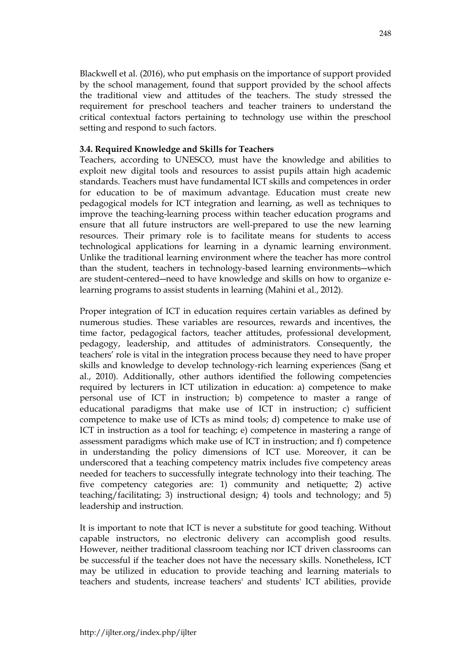Blackwell et al. (2016), who put emphasis on the importance of support provided by the school management, found that support provided by the school affects the traditional view and attitudes of the teachers. The study stressed the requirement for preschool teachers and teacher trainers to understand the critical contextual factors pertaining to technology use within the preschool setting and respond to such factors.

### **3.4. Required Knowledge and Skills for Teachers**

Teachers, according to UNESCO, must have the knowledge and abilities to exploit new digital tools and resources to assist pupils attain high academic standards. Teachers must have fundamental ICT skills and competences in order for education to be of maximum advantage. Education must create new pedagogical models for ICT integration and learning, as well as techniques to improve the teaching-learning process within teacher education programs and ensure that all future instructors are well-prepared to use the new learning resources. Their primary role is to facilitate means for students to access technological applications for learning in a dynamic learning environment. Unlike the traditional learning environment where the teacher has more control than the student, teachers in technology-based learning environments―which are student-centered―need to have knowledge and skills on how to organize elearning programs to assist students in learning (Mahini et al., 2012).

Proper integration of ICT in education requires certain variables as defined by numerous studies. These variables are resources, rewards and incentives, the time factor, pedagogical factors, teacher attitudes, professional development, pedagogy, leadership, and attitudes of administrators. Consequently, the teachers' role is vital in the integration process because they need to have proper skills and knowledge to develop technology-rich learning experiences (Sang et al., 2010). Additionally, other authors identified the following competencies required by lecturers in ICT utilization in education: a) competence to make personal use of ICT in instruction; b) competence to master a range of educational paradigms that make use of ICT in instruction; c) sufficient competence to make use of ICTs as mind tools; d) competence to make use of ICT in instruction as a tool for teaching; e) competence in mastering a range of assessment paradigms which make use of ICT in instruction; and f) competence in understanding the policy dimensions of ICT use. Moreover, it can be underscored that a teaching competency matrix includes five competency areas needed for teachers to successfully integrate technology into their teaching. The five competency categories are: 1) community and netiquette; 2) active teaching/facilitating; 3) instructional design; 4) tools and technology; and 5) leadership and instruction.

It is important to note that ICT is never a substitute for good teaching. Without capable instructors, no electronic delivery can accomplish good results. However, neither traditional classroom teaching nor ICT driven classrooms can be successful if the teacher does not have the necessary skills. Nonetheless, ICT may be utilized in education to provide teaching and learning materials to teachers and students, increase teachers' and students' ICT abilities, provide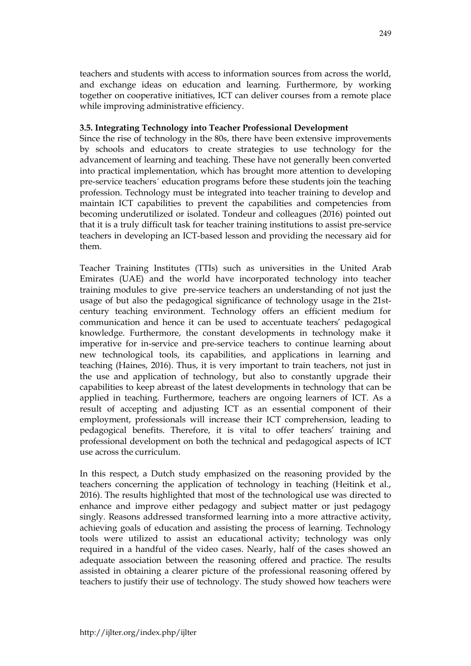teachers and students with access to information sources from across the world, and exchange ideas on education and learning. Furthermore, by working together on cooperative initiatives, ICT can deliver courses from a remote place while improving administrative efficiency.

## **3.5. Integrating Technology into Teacher Professional Development**

Since the rise of technology in the 80s, there have been extensive improvements by schools and educators to create strategies to use technology for the advancement of learning and teaching. These have not generally been converted into practical implementation, which has brought more attention to developing pre-service teachers´ education programs before these students join the teaching profession. Technology must be integrated into teacher training to develop and maintain ICT capabilities to prevent the capabilities and competencies from becoming underutilized or isolated. Tondeur and colleagues (2016) pointed out that it is a truly difficult task for teacher training institutions to assist pre-service teachers in developing an ICT-based lesson and providing the necessary aid for them.

Teacher Training Institutes (TTIs) such as universities in the United Arab Emirates (UAE) and the world have incorporated technology into teacher training modules to give pre-service teachers an understanding of not just the usage of but also the pedagogical significance of technology usage in the 21stcentury teaching environment. Technology offers an efficient medium for communication and hence it can be used to accentuate teachers' pedagogical knowledge. Furthermore, the constant developments in technology make it imperative for in-service and pre-service teachers to continue learning about new technological tools, its capabilities, and applications in learning and teaching (Haines, 2016). Thus, it is very important to train teachers, not just in the use and application of technology, but also to constantly upgrade their capabilities to keep abreast of the latest developments in technology that can be applied in teaching. Furthermore, teachers are ongoing learners of ICT. As a result of accepting and adjusting ICT as an essential component of their employment, professionals will increase their ICT comprehension, leading to pedagogical benefits. Therefore, it is vital to offer teachers' training and professional development on both the technical and pedagogical aspects of ICT use across the curriculum.

In this respect, a Dutch study emphasized on the reasoning provided by the teachers concerning the application of technology in teaching (Heitink et al., 2016). The results highlighted that most of the technological use was directed to enhance and improve either pedagogy and subject matter or just pedagogy singly. Reasons addressed transformed learning into a more attractive activity, achieving goals of education and assisting the process of learning. Technology tools were utilized to assist an educational activity; technology was only required in a handful of the video cases. Nearly, half of the cases showed an adequate association between the reasoning offered and practice. The results assisted in obtaining a clearer picture of the professional reasoning offered by teachers to justify their use of technology. The study showed how teachers were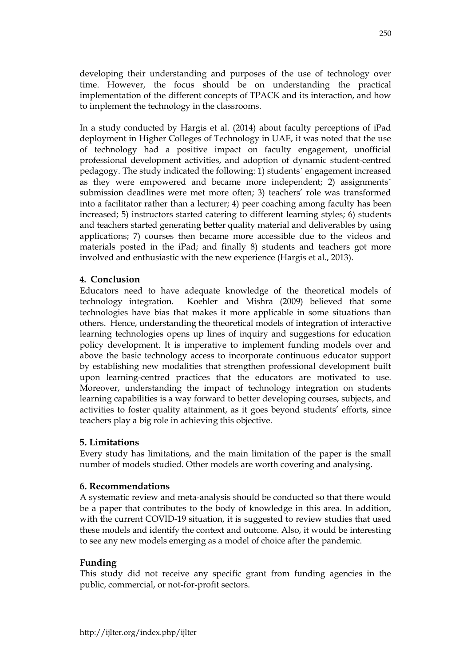developing their understanding and purposes of the use of technology over time. However, the focus should be on understanding the practical implementation of the different concepts of TPACK and its interaction, and how to implement the technology in the classrooms.

In a study conducted by Hargis et al. (2014) about faculty perceptions of iPad deployment in Higher Colleges of Technology in UAE, it was noted that the use of technology had a positive impact on faculty engagement, unofficial professional development activities, and adoption of dynamic student-centred pedagogy. The study indicated the following: 1) students´ engagement increased as they were empowered and became more independent; 2) assignments´ submission deadlines were met more often; 3) teachers' role was transformed into a facilitator rather than a lecturer; 4) peer coaching among faculty has been increased; 5) instructors started catering to different learning styles; 6) students and teachers started generating better quality material and deliverables by using applications; 7) courses then became more accessible due to the videos and materials posted in the iPad; and finally 8) students and teachers got more involved and enthusiastic with the new experience (Hargis et al., 2013).

# **4. Conclusion**

Educators need to have adequate knowledge of the theoretical models of technology integration. Koehler and Mishra (2009) believed that some technologies have bias that makes it more applicable in some situations than others. Hence, understanding the theoretical models of integration of interactive learning technologies opens up lines of inquiry and suggestions for education policy development. It is imperative to implement funding models over and above the basic technology access to incorporate continuous educator support by establishing new modalities that strengthen professional development built upon learning-centred practices that the educators are motivated to use. Moreover, understanding the impact of technology integration on students learning capabilities is a way forward to better developing courses, subjects, and activities to foster quality attainment, as it goes beyond students' efforts, since teachers play a big role in achieving this objective.

# **5. Limitations**

Every study has limitations, and the main limitation of the paper is the small number of models studied. Other models are worth covering and analysing.

### **6. Recommendations**

A systematic review and meta-analysis should be conducted so that there would be a paper that contributes to the body of knowledge in this area. In addition, with the current COVID-19 situation, it is suggested to review studies that used these models and identify the context and outcome. Also, it would be interesting to see any new models emerging as a model of choice after the pandemic.

### **Funding**

This study did not receive any specific grant from funding agencies in the public, commercial, or not-for-profit sectors.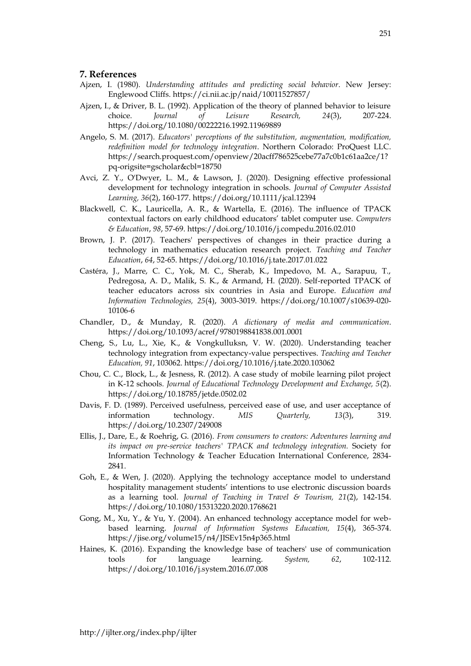#### **7. References**

- Ajzen, I. (1980). *Understanding attitudes and predicting social behavior*. New Jersey: Englewood Cliffs. https://ci.nii.ac.jp/naid/10011527857/
- Ajzen, I., & Driver, B. L. (1992). Application of the theory of planned behavior to leisure choice. *Journal of Leisure Research, 24*(3), 207-224. https://doi.org/10.1080/00222216.1992.11969889
- Angelo, S. M. (2017). *Educators' perceptions of the substitution, augmentation, modification, redefinition model for technology integration*. Northern Colorado: ProQuest LLC. https://search.proquest.com/openview/20acff786525cebe77a7c0b1c61aa2ce/1? pq-origsite=gscholar&cbl=18750
- Avci, Z. Y., O'Dwyer, L. M., & Lawson, J. (2020). Designing effective professional development for technology integration in schools. *Journal of Computer Assisted Learning, 36*(2), 160-177. https://doi.org/10.1111/jcal.12394
- Blackwell, C. K., Lauricella, A. R., & Wartella, E. (2016). The influence of TPACK contextual factors on early childhood educators' tablet computer use. *Computers & Education*, *98*, 57-69. https://doi.org/10.1016/j.compedu.2016.02.010
- Brown, J. P. (2017). Teachers' perspectives of changes in their practice during a technology in mathematics education research project. *Teaching and Teacher Education*, *64*, 52-65. https://doi.org/10.1016/j.tate.2017.01.022
- Castéra, J., Marre, C. C., Yok, M. C., Sherab, K., Impedovo, M. A., Sarapuu, T., Pedregosa, A. D., Malik, S. K., & Armand, H. (2020). Self-reported TPACK of teacher educators across six countries in Asia and Europe. *Education and Information Technologies, 25*(4), 3003-3019. https://doi.org/10.1007/s10639-020- 10106-6
- Chandler, D., & Munday, R. (2020). *A dictionary of media and communication*. https://doi.org/10.1093/acref/9780198841838.001.0001
- Cheng, S., Lu, L., Xie, K., & Vongkulluksn, V. W. (2020). Understanding teacher technology integration from expectancy-value perspectives. *Teaching and Teacher Education, 91*, 103062. https://doi.org/10.1016/j.tate.2020.103062
- Chou, C. C., Block, L., & Jesness, R. (2012). A case study of mobile learning pilot project in K-12 schools*. Journal of Educational Technology Development and Exchange, 5*(2). https://doi.org/10.18785/jetde.0502.02
- Davis, F. D. (1989). Perceived usefulness, perceived ease of use, and user acceptance of information technology. *MIS Quarterly, 13*(3), 319. https://doi.org/10.2307/249008
- Ellis, J., Dare, E., & Roehrig, G. (2016). *From consumers to creators: Adventures learning and its impact on pre-service teachers' TPACK and technology integration.* Society for Information Technology & Teacher Education International Conference, 2834- 2841.
- Goh, E., & Wen, J. (2020). Applying the technology acceptance model to understand hospitality management students' intentions to use electronic discussion boards as a learning tool. *Journal of Teaching in Travel & Tourism, 21*(2), 142-154. https://doi.org/10.1080/15313220.2020.1768621
- Gong, M., Xu, Y., & Yu, Y. (2004). An enhanced technology acceptance model for webbased learning. *Journal of Information Systems Education, 15*(4), 365-374. https://jise.org/volume15/n4/JISEv15n4p365.html
- Haines, K. (2016). Expanding the knowledge base of teachers' use of communication tools for language learning. *System, 62*, 102-112. https://doi.org/10.1016/j.system.2016.07.008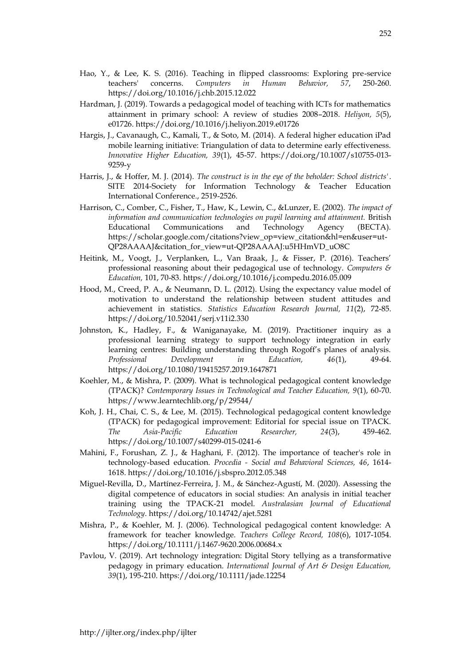- Hao, Y., & Lee, K. S. (2016). Teaching in flipped classrooms: Exploring pre-service teachers' concerns. *Computers in Human Behavior, 57*, 250-260. https://doi.org/10.1016/j.chb.2015.12.022
- Hardman, J. (2019). Towards a pedagogical model of teaching with ICTs for mathematics attainment in primary school: A review of studies 2008–2018. *Heliyon, 5*(5), e01726. https://doi.org/10.1016/j.heliyon.2019.e01726
- Hargis, J., Cavanaugh, C., Kamali, T., & Soto, M. (2014). A federal higher education iPad mobile learning initiative: Triangulation of data to determine early effectiveness. *Innovative Higher Education, 39*(1), 45-57. https://doi.org/10.1007/s10755-013- 9259-y
- Harris, J., & Hoffer, M. J. (2014). *The construct is in the eye of the beholder: School districts'*. SITE 2014-Society for Information Technology & Teacher Education International Conference., 2519-2526.
- Harrison, C., Comber, C., Fisher, T., Haw, K., Lewin, C., &Lunzer, E. (2002). *The impact of information and communication technologies on pupil learning and attainment.* British Educational Communications and Technology Agency (BECTA). https://scholar.google.com/citations?view\_op=view\_citation&hl=en&user=ut-QP28AAAAJ&citation\_for\_view=ut-QP28AAAAJ:u5HHmVD\_uO8C
- Heitink, M., Voogt, J., Verplanken, L., Van Braak, J., & Fisser, P. (2016). Teachers' professional reasoning about their pedagogical use of technology. *Computers & Education,* 101, 70-83. https://doi.org/10.1016/j.compedu.2016.05.009
- Hood, M., Creed, P. A., & Neumann, D. L. (2012). Using the expectancy value model of motivation to understand the relationship between student attitudes and achievement in statistics. *Statistics Education Research Journal, 11*(2), 72-85. https://doi.org/10.52041/serj.v11i2.330
- Johnston, K., Hadley, F., & Waniganayake, M. (2019). Practitioner inquiry as a professional learning strategy to support technology integration in early learning centres: Building understanding through Rogoff's planes of analysis. *Professional Development in Education, 46*(1), 49-64. https://doi.org/10.1080/19415257.2019.1647871
- Koehler, M., & Mishra, P. (2009). What is technological pedagogical content knowledge (TPACK)? *Contemporary Issues in Technological and Teacher Education, 9*(1), 60-70. https://www.learntechlib.org/p/29544/
- Koh, J. H., Chai, C. S., & Lee, M. (2015). Technological pedagogical content knowledge (TPACK) for pedagogical improvement: Editorial for special issue on TPACK. *The Asia-Pacific Education Researcher, 24*(3), 459-462. https://doi.org/10.1007/s40299-015-0241-6
- Mahini, F., Forushan, Z. J., & Haghani, F. (2012). The importance of teacher's role in technology-based education. *Procedia - Social and Behavioral Sciences, 46*, 1614- 1618. https://doi.org/10.1016/j.sbspro.2012.05.348
- Miguel-Revilla, D., Martínez-Ferreira, J. M., & Sánchez-Agustí, M. (2020). Assessing the digital competence of educators in social studies: An analysis in initial teacher training using the TPACK-21 model. *Australasian Journal of Educational Technology*. https://doi.org/10.14742/ajet.5281
- Mishra, P., & Koehler, M. J. (2006). Technological pedagogical content knowledge: A framework for teacher knowledge. *Teachers College Record, 108*(6), 1017-1054. https://doi.org/10.1111/j.1467-9620.2006.00684.x
- Pavlou, V. (2019). Art technology integration: Digital Story tellying as a transformative pedagogy in primary education. *International Journal of Art & Design Education, 39*(1), 195-210. https://doi.org/10.1111/jade.12254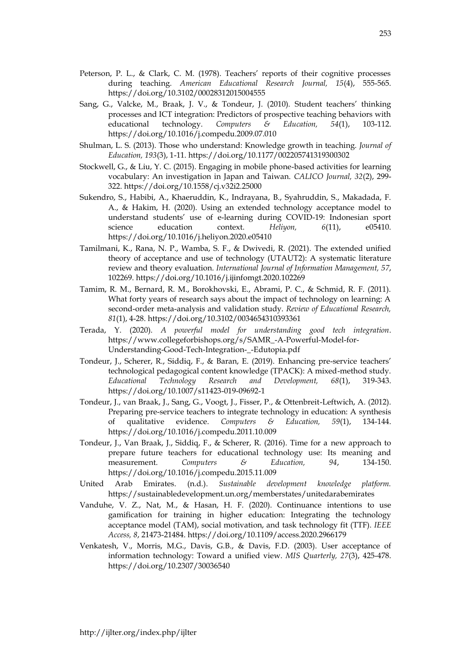- Peterson, P. L., & Clark, C. M. (1978). Teachers' reports of their cognitive processes during teaching. *American Educational Research Journal, 15*(4), 555-565. https://doi.org/10.3102/00028312015004555
- Sang, G., Valcke, M., Braak, J. V., & Tondeur, J. (2010). Student teachers' thinking processes and ICT integration: Predictors of prospective teaching behaviors with educational technology. *Computers & Education, 54*(1), 103-112. https://doi.org/10.1016/j.compedu.2009.07.010
- Shulman, L. S. (2013). Those who understand: Knowledge growth in teaching. *Journal of Education, 193*(3), 1-11. https://doi.org/10.1177/002205741319300302
- Stockwell, G., & Liu, Y. C. (2015). Engaging in mobile phone-based activities for learning vocabulary: An investigation in Japan and Taiwan. *CALICO Journal, 32*(2), 299- 322. https://doi.org/10.1558/cj.v32i2.25000
- Sukendro, S., Habibi, A., Khaeruddin, K., Indrayana, B., Syahruddin, S., Makadada, F. A., & Hakim, H. (2020). Using an extended technology acceptance model to understand students' use of e-learning during COVID-19: Indonesian sport science education context. *Heliyon, 6*(11), e05410. https://doi.org/10.1016/j.heliyon.2020.e05410
- Tamilmani, K., Rana, N. P., Wamba, S. F., & Dwivedi, R. (2021). The extended unified theory of acceptance and use of technology (UTAUT2): A systematic literature review and theory evaluation. *International Journal of Information Management, 57*, 102269. https://doi.org/10.1016/j.ijinfomgt.2020.102269
- Tamim, R. M., Bernard, R. M., Borokhovski, E., Abrami, P. C., & Schmid, R. F. (2011). What forty years of research says about the impact of technology on learning: A second-order meta-analysis and validation study. *Review of Educational Research, 81*(1), 4-28. https://doi.org/10.3102/0034654310393361
- Terada, Y. (2020). *A powerful model for understanding good tech integration*. https://www.collegeforbishops.org/s/SAMR\_-A-Powerful-Model-for-Understanding-Good-Tech-Integration-\_-Edutopia.pdf
- Tondeur, J., Scherer, R., Siddiq, F., & Baran, E. (2019). Enhancing pre-service teachers' technological pedagogical content knowledge (TPACK): A mixed-method study. *Educational Technology Research and Development, 68*(1), 319-343. https://doi.org/10.1007/s11423-019-09692-1
- Tondeur, J., van Braak, J., Sang, G., Voogt, J., Fisser, P., & Ottenbreit-Leftwich, A. (2012). Preparing pre-service teachers to integrate technology in education: A synthesis of qualitative evidence. *Computers & Education, 59*(1), 134-144. https://doi.org/10.1016/j.compedu.2011.10.009
- Tondeur, J., Van Braak, J., Siddiq, F., & Scherer, R. (2016). Time for a new approach to prepare future teachers for educational technology use: Its meaning and measurement. *Computers & Education, 94*, 134-150. https://doi.org/10.1016/j.compedu.2015.11.009
- United Arab Emirates. (n.d.). *Sustainable development knowledge platform.* https://sustainabledevelopment.un.org/memberstates/unitedarabemirates
- Vanduhe, V. Z., Nat, M., & Hasan, H. F. (2020). Continuance intentions to use gamification for training in higher education: Integrating the technology acceptance model (TAM), social motivation, and task technology fit (TTF). *IEEE Access, 8*, 21473-21484. https://doi.org/10.1109/access.2020.2966179
- Venkatesh, V., Morris, M.G., Davis, G.B., & Davis, F.D. (2003). User acceptance of information technology: Toward a unified view. *MIS Quarterly, 27*(3), 425-478. https://doi.org/10.2307/30036540